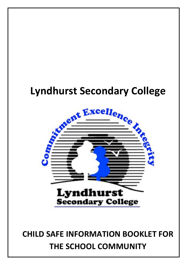# **Lyndhurst Secondary College**



## **CHILD SAFE INFORMATION BOOKLET FOR THE SCHOOL COMMUNITY**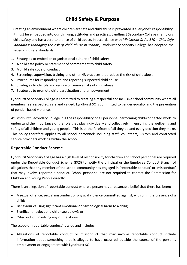## **Child Safety & Purpose**

Creating an environment where children are safe and child abuse is prevented is everyone's responsibility; it must be embedded into our thinking, attitudes and practices. Lyndhurst Secondary College champions child safety and has a zero tolerance of child abuse. In accordance with *Ministerial Order 870 – Child Safe Standards: Managing the risk of child abuse in schools, Lyndhurst Secondary College has adopted the* seven child safe standards:

- 1. Strategies to embed an organisational culture of child safety
- 2. A child safe policy or statement of commitment to child safety
- 3. A child safe code of conduct
- 4. Screening, supervision, training and other HR practices that reduce the risk of child abuse
- 5. Procedures for responding to and reporting suspected child abuse
- 6. Strategies to identify and reduce or remove risks of child abuse
- 7. Strategies to promote child participation and empowerment

Lyndhurst Secondary College is committed to creating a respectful and inclusive school community where all members feel respected, safe and valued. Lyndhurst SC is committed to gender equality and the prevention of gender-based violence.

At Lyndhurst Secondary College it is the responsibility of all personnel performing child-connected work, to understand the importance of the role they play individually and collectively, in ensuring the wellbeing and safety of all children and young people. This is at the forefront of all they do and every decision they make. This policy therefore applies to all school personnel; including staff, volunteers, visitors and contracted service providers working within the school.

#### **Reportable Conduct Scheme**

Lyndhurst Secondary College has a high level of responsibility for children and school personnel are required under the Reportable Conduct Scheme (RCS) to notify the principal or the Employee Conduct Branch of allegations that any member of the school community has engaged in 'reportable conduct' or 'misconduct' that may involve reportable conduct. School personnel are not required to contact the Commission for Children and Young People directly.

There is an allegation of reportable conduct where a person has a reasonable belief that there has been:

- A sexual offence, sexual misconduct or physical violence committed against, with or in the presence of a child;
- Behaviour causing significant emotional or psychological harm to a child;
- Significant neglect of a child (see below); or
- 'Misconduct' involving any of the above

The scope of 'reportable conduct' is wide and includes:

• Allegations of reportable conduct or misconduct that may involve reportable conduct include information about something that is alleged to have occurred outside the course of the person's employment or engagement with Lyndhurst SC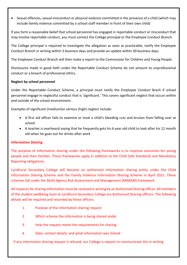• Sexual offences, sexual misconduct or physical violence committed in the presence of a child (which may include family violence committed by a school staff member in front of their own child)

If you form a reasonable belief that school personnel has engaged in reportable conduct or misconduct that may involve reportable conduct, you must contact the College principal or the Employee Conduct Branch.

The College principal is required to investigate the allegation as soon as practicable, notify the Employee Conduct Branch in writing within 3 business days and provide an update within 30 business days.

The Employee Conduct Branch will then make a report to the Commission for Children and Young People.

Disclosures made in good faith under the Reportable Conduct Scheme do not amount to unprofessional conduct or a breach of professional ethics.

#### **Neglect by school personnel**

Under the Reportable Conduct Scheme, a principal must notify the Employee Conduct Brach if school personnel engage in neglectful conduct that is 'significant.' This covers significant neglect that occurs within and outside of the school environment.

Examples of significant (medium) or serious (high) neglect include:

- A first aid officer fails to examine or treat a child's bleeding cuts and bruises from falling over at school
- A teacher is overheard saying that he frequently gets his 6 year old child to look after his 12 month old when he goes out for drinks after work

#### **Information Sharing**

The purpose of information sharing under the following frameworks is to improve outcomes for young people and their families. These frameworks apply in addition to the Child Safe Standards and Mandatory Reporting obligations.

Lyndhurst Secondary College will become an authorized information sharing entity under the Child Information Sharing Scheme and the Family Violence Information Sharing Scheme in April 2021. These schemes fall under the Multi Agency Risk Assessment and Management (MARAM) framework.

All requests for sharing information must be received in writing by an Authorised Sharing officer. All members of the student wellbeing team at Lyndhurst Secondary College are Authorised Sharing officers. The following details will be required and recorded by these officers.

- 1. Purpose of the information sharing request
- 2. Which scheme the information is being shared under
- 3. How the request meets the requirements for sharing
- 4. Date, contact details, and what information was shared

If any information sharing request is refused, our College is require to communicate this in writing.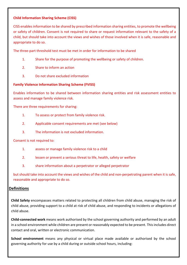#### **Child Information Sharing Scheme (CISS)**

CISS enables information to be shared by prescribed information sharing entities, to promote the wellbeing or safety of children. Consent is not required to share or request information relevant to the safety of a child, but should take into account the views and wishes of those involved when it is safe, reasonable and appropriate to do so.

The three-part threshold test must be met in order for information to be shared

- 1. Share for the purpose of promoting the wellbeing or safety of children.
- 2. Share to inform an action
- 3. Do not share excluded information

#### **Family Violence Information Sharing Scheme (FVISS)**

Enables information to be shared between information sharing entities and risk assessment entities to assess and manage family violence risk.

There are three requirements for sharing:

- 1. To assess or protect from family violence risk.
- 2. Applicable consent requirements are met (see below)
- 3. The information is not excluded information.

Consent is not required to:

- 1. assess or manage family violence risk to a child
- 2. lessen or prevent a serious threat to life, health, safety or welfare
- 3. Share information about a perpetrator or alleged perpetrator

but should take into account the views and wishes of the child and non-perpetrating parent when it is safe, reasonable and appropriate to do so.

#### **Definitions**

**Child Safety** encompasses matters related to protecting all children from child abuse, managing the risk of child abuse, providing support to a child at risk of child abuse, and responding to incidents or allegations of child abuse.

**Child-connected work** means work authorised by the school governing authority and performed by an adult in a school environment while children are present or reasonably expected to be present. This includes direct contact and oral, written or electronic communication.

**School environment** means any physical or virtual place made available or authorised by the school governing authority for use by a child during or outside school hours, including: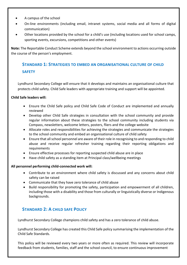- A campus of the school
- On-line environments (including email, intranet systems, social media and all forms of digital communication)
- Other locations provided by the school for a child's use (including locations used for school camps, sporting events, excursions, competitions and other events)

**Note:** The Reportable Conduct Scheme extends beyond the school environment to actions occurring outside the course of the person's employment.

## **STANDARD 1: STRATEGIES TO EMBED AN ORGANISATIONAL CULTURE OF CHILD SAFETY**

Lyndhurst Secondary College will ensure that it develops and maintains an organisational culture that protects child safety. Child Safe leaders with appropriate training and support will be appointed.

#### **Child Safe leaders will:**

- Ensure the Child Safe policy and Child Safe Code of Conduct are implemented and annually reviewed
- Develop other Child Safe strategies in consultation with the school community and provide regular information about these strategies to the school community including students via Compass, newsletters, welcome letters, posters, fliers and the college website
- Allocate roles and responsibilities for achieving the strategies and communicate the strategies to the school community and embed an organisational culture of child safety
- Ensure that all school personnel are aware of their role in recognising to and responding to child abuse and receive regular refresher training regarding their reporting obligations and requirements
- Ensure effective processes for reporting suspected child abuse are in place
- Have child safety as a standing item at Principal class/wellbeing meetings

#### All personnel performing child-connected work will:

- Contribute to an environment where child safety is discussed and any concerns about child safety can be raised
- Communicate that they have zero tolerance of child abuse
- Build responsibility for promoting the safety, participation and empowerment of all children, including those with a disability and those from culturally or linguistically diverse or Indigenous backgrounds.

#### **STANDARD 2: A CHILD SAFE POLICY**

Lyndhurst Secondary College champions child safety and has a zero tolerance of child abuse.

Lyndhurst Secondary College has created this Child Safe policy summarising the implementation of the Child Safe Standards. 

This policy will be reviewed every two years or more often as required. This review will incorporate feedback from students, families, staff and the school council, to ensure continuous improvement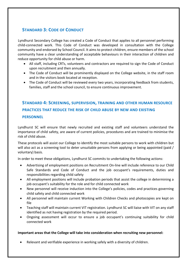### **STANDARD 3: CODE OF CONDUCT**

Lyndhurst Secondary College has created a Code of Conduct that applies to all personnel performing child-connected work. This Code of Conduct was developed in consultation with the College community and endorsed by School Council. It aims to protect children, ensure members of the school community have a clear understanding of acceptable behaviours in their interaction of children and reduce opportunity for child abuse or harm.

- All staff, including CRTs, volunteers and contractors are required to sign the Code of Conduct upon recruitment and then annually.
- The Code of Conduct will be prominently displayed on the College website, in the staff room and in the visitors book located at reception.
- The Code of Conduct will be reviewed every two years, incorporating feedback from students, families, staff and the school council, to ensure continuous improvement.

## **STANDARD 4: SCREENING, SUPERVISION, TRAINING AND OTHER HUMAN RESOURCE PRACTICES THAT REDUCE THE RISK OF CHILD ABUSE BY NEW AND EXISTING PERSONNEL**

Lyndhurst SC will ensure that newly recruited and existing staff and volunteers understand the importance of child safety, are aware of current policies, procedures and are trained to minimise the risk of child abuse.

These protocols will assist our College to identify the most suitable persons to work with children but will also act as a screening tool to deter unsuitable persons from applying or being appointed (paid / voluntary) basis.

In order to meet these obligations, Lyndhurst SC commits to undertaking the following actions:

- Advertising of employment positions on Recruitment On-line will include reference to our Child Safe Standards and Code of Conduct and the job occupant's requirements, duties and responsibilities regarding child safety
- All employment positions will include probation periods that assist the college in determining a job occupant's suitability for the role and for child connected work
- New personnel will receive induction into the College's policies, codes and practices governing child safety and child connected work
- All personnel will maintain current Working with Children Checks and photocopies are kept on file
- Teaching staff will maintain current VIT registration. Lyndhurst SC will liaise with VIT on any staff identified as not having registration by the required period.
- Ongoing assessment will occur to ensure a job occupant's continuing suitability for child connected work

#### Important areas that the College will take into consideration when recruiting new personnel:

Relevant and verifiable experience in working safely with a diversity of children.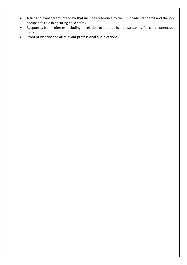- A fair and transparent interview that includes reference to the Child Safe Standards and the job occupant's role in ensuring child safety
- Responses from referees including in relation to the applicant's suitability for child connected work
- Proof of identity and all relevant professional qualifications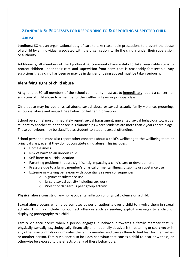## **STANDARD 5: PROCESSES FOR RESPONDING TO & REPORTING SUSPECTED CHILD ABUSE**

Lyndhurst SC has an organisational duty of care to take reasonable precautions to prevent the abuse of a child by an individual associated with the organisation, while the child is under their supervision or authority.

Additionally, all members of the Lyndhurst SC community have a duty to take reasonable steps to protect children under their care and supervision from harm that is reasonably foreseeable. Any suspicions that a child has been or may be in danger of being abused must be taken seriously.

#### **Identifying signs of child abuse**

At Lyndhurst SC, all members of the school community must act to immediately report a concern or suspicion of child abuse to a member of the wellbeing team or principal class.

Child abuse may include physical abuse, sexual abuse or sexual assault, family violence, grooming, emotional abuse and neglect. See below for further information.

School personnel must immediately report sexual harassment, unwanted sexual behaviour towards a student by another student or sexual relationships where students are more than 2 years apart in age. These behaviours may be classified as student-to-student sexual offending.

School personnel must also report other concerns about a child's wellbeing to the wellbeing team or principal class, even if they do not constitute child abuse. This includes:

- Homelessness
- Risk of harm to an unborn child
- Self-harm or suicidal ideation
- Parenting problems that are significantly impacting a child's care or development
- Pressure due to a family member's physical or mental illness, disability or substance use
- Extreme risk-taking behaviour with potentially severe consequences
	- $\circ$  Significant substance use
	- $\circ$  Unsafe sexual activity including sex work
	- $\circ$  Violent or dangerous peer group activity

Physical abuse consists of any non-accidental infliction of physical violence on a child.

**Sexual abuse** occurs when a person uses power or authority over a child to involve them in sexual activity. This may include non-contact offences such as sending explicit messages to a child or displaying pornography to a child.

**Family violence** occurs when a person engages in behaviour towards a family member that is: physically, sexually, psychologically, financially or emotionally abusive; is threatening or coercive; or in any other way controls or dominates the family member and causes them to feel fear for themselves or another person. Family violence also includes behaviour that causes a child to hear or witness, or otherwise be exposed to the effects of, any of these behaviours.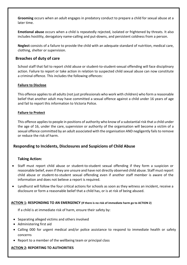Grooming occurs when an adult engages in predatory conduct to prepare a child for sexual abuse at a later time.

**Emotional abuse** occurs when a child is repeatedly rejected, isolated or frightened by threats. It also includes hostility, derogatory name-calling and put-downs, and persistent coldness from a person.

**Neglect** consists of a failure to provide the child with an adequate standard of nutrition, medical care, clothing, shelter or supervision.

#### **Breaches of duty of care**

School staff that fail to report child abuse or student-to-student-sexual offending will face disciplinary action. Failure to report or take action in relation to suspected child sexual abuse can now constitute a criminal offence. This includes the following offences:

#### **Failure to Disclose**

This offence applies to all adults (not just professionals who work with children) who form a reasonable belief that another adult may have committed a sexual offence against a child under 16 years of age and fail to report this information to Victoria Police.

#### **Failure to Protect**

This offence applies to people in positions of authority who know of a substantial risk that a child under the age of 16, under the care, supervision or authority of the organisation will become a victim of a sexual offence committed by an adult associated with the organisation AND negligently fails to remove or reduce the risk of harm.

#### **Responding to Incidents, Disclosures and Suspicions of Child Abuse**

#### **Taking Action:**

- Staff must report child abuse or student-to-student sexual offending if they form a suspicion or reasonable belief, even if they are unsure and have not directly observed child abuse. Staff must report child abuse or student-to-student sexual offending even if another staff member is aware of the information and does not believe a report is required.
- Lyndhurst will follow the four critical actions for schools as soon as they witness an incident, receive a disclosure or form a reasonable belief that a child has, or is at risk of being abused.

#### ACTION 1: RESPONDING TO AN EMERGENCY (If there is no risk of immediate harm go to ACTION 2)

If a child is at immediate risk of harm, ensure their safety by:

- Separating alleged victims and others involved
- Administering first aid
- Calling 000 for urgent medical and/or police assistance to respond to immediate health or safety concerns
- Report to a member of the wellbeing team or principal class

#### **ACTION 2: REPORTING TO AUTHORITIES**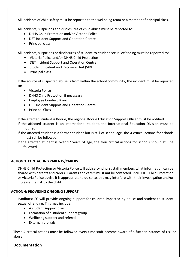All incidents of child safety must be reported to the wellbeing team or a member of principal class.

All incidents, suspicions and disclosures of child abuse must be reported to:

- DHHS Child Protection and/or Victoria Police
- DET Incident Support and Operation Centre
- Principal class

All incidents, suspicions or disclosures of student-to-student sexual offending must be reported to:

- Victoria Police and/or DHHS Child Protection
- DET Incident Support and Operation Centre
- Student Incident and Recovery Unit (SIRU)
- Principal class

If the source of suspected abuse is from within the school community, the incident must be reported to:

- Victoria Police
- DHHS Child Protection if necessary
- Employee Conduct Branch
- DET Incident Support and Operation Centre
- Principal Class

If the affected student is Koorie, the regional Koorie Education Support Officer must be notified.

- If the affected student is an International student, the International Education Division must be notified.
- If the affected student is a former student but is still of school age, the 4 critical actions for schools must still be followed.
- If the affected student is over 17 years of age, the four critical actions for schools should still be followed.

#### **ACTION 3: CONTACTING PARENTS/CARERS**

DHHS Child Protection or Victoria Police will advise Lyndhurst staff members what information can be shared with parents and carers. Parents and carers **must not** be contacted until DHHS Child Protection or Victoria Police advise it is appropriate to do so, as this may interfere with their investigation and/or increase the risk to the child.

#### **ACTION 4: PROVIDING ONGOING SUPPORT**

Lyndhurst SC will provide ongoing support for children impacted by abuse and student-to-student sexual offending. This may include:

- $\bullet$  A student support plan
- Formation of a student support group
- Wellbeing support and referral
- External referrals

These 4 critical actions must be followed every time staff become aware of a further instance of risk or abuse. 

#### **Documentation**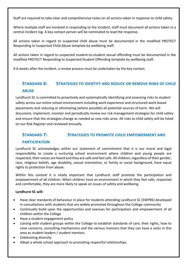Staff are required to take clear and comprehensive notes on all actions taken in response to child safety.

Where multiple staff are involved in responding to the incident, staff must document all actions taken in a central incident log. A key contact person will be nominated to lead the response.

All actions taken in regard to suspected child abuse must be documented in the modified PROTECT Responding to Suspected Child Abuse template by wellbeing staff.

All actions taken in regard to suspected student-to-student sexual offending must be documented in the modified PROTECT Responding to Suspected Student Offending template by wellbeing staff.

4-6 weeks after the incident, a review process must be undertaken by the key contact.

### **STANDARD 6: STRATEGIES TO IDENTIFY AND REDUCE OR REMOVE RISKS OF CHILD ABUSE**

Lyndhurst SC is committed to proactively and systematically identifying and assessing risks to student safety across our entire school environment including work experience and structured work-based placements and reducing or eliminating (where possible) all potential sources of harm. We will document, implement, monitor and periodically review our risk management strategies for child safety and ensure that the strategies change as needed as new risks arise. All risks to child safety will be listed on our Risk Register and reviewed annually.

## **STANDARD 7: STRATEGIES TO PROMOTE CHILD EMPOWERMENT AND**

#### **PARTICIPATION**

Lyndhurst SC acknowledges within our statement of commitment that it is our moral and legal responsibility to create a nurturing school environment where children and young people are respected, their voices are heard and they are safe and feel safe. All children, regardless of their gender, race, religious beliefs, age disability, sexual orientation, or family or social background, have equal rights to protection from abuse.

Within this context it is vitally important that Lyndhurst staff promote the participation and empowerment of all children. When children have an environment in which they feel safe, respected and comfortable, they are more likely to speak on issues of safety and wellbeing.

#### **Lyndhurst SC will:**

- Have clear standards of behaviour in place for students attending Lyndhurst SC (SWPBS) developed in consultations with students that are widely promoted throughout the College community
- Continually build upon the opportunities and avenues for participation and empowerment of all children within the College
- Have a student engagement policy
- Liaising with student groups within the College to establish standards of care, their rights, how to raise concerns, consulting mechanisms and the various manners that they can have a voice in this area as student leaders / student mentors.
- Celebrating diversity
- Adopt a whole school approach to promoting respectful relationships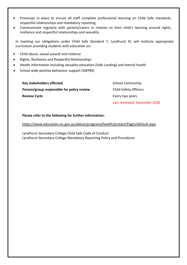- Processes in place to ensure all staff complete professional learning on Child Safe standards, respectful relationships and mandatory reporting
- Communicate regularly with parents/carers in relation to their child's learning around rights, resilience and respectful relationships and sexuality

In meeting our obligations under Child Safe Standard 7, Lyndhurst SC will institute appropriate curriculum providing students with education on:

- Child abuse, sexual assault and violence
- Rights, Resilience and Respectful Relationships
- Health information including sexuality education (Safe Landing) and mental health
- School wide positive behaviour support (SWPBS)

**Person/group responsible for policy review** Child Safety Officers **Review Cycle Every two years Review Cycle** 

**Key stakeholders affected** School Community Last reviewed: December 2020

#### Please refer to the following for further information:

https://www.education.vic.gov.au/about/programs/health/protect/Pages/default.aspx

Lyndhurst Secondary College Child Safe Code of Conduct Lyndhurst Secondary College Mandatory Reporting Policy and Procedures